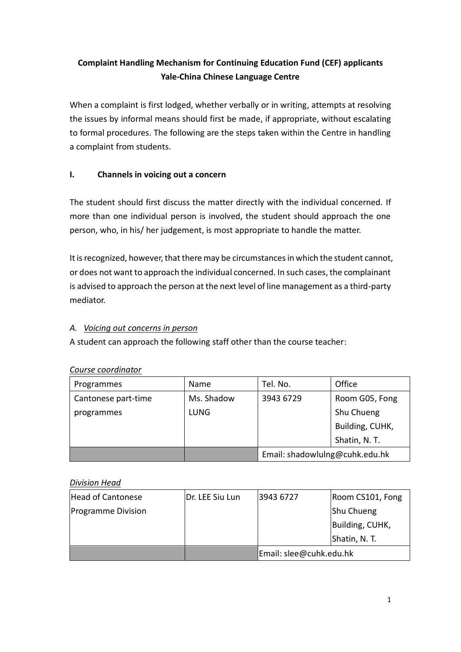# **Complaint Handling Mechanism for Continuing Education Fund (CEF) applicants Yale-China Chinese Language Centre**

When a complaint is first lodged, whether verbally or in writing, attempts at resolving the issues by informal means should first be made, if appropriate, without escalating to formal procedures. The following are the steps taken within the Centre in handling a complaint from students.

### **I. Channels in voicing out a concern**

The student should first discuss the matter directly with the individual concerned. If more than one individual person is involved, the student should approach the one person, who, in his/ her judgement, is most appropriate to handle the matter.

It is recognized, however, that there may be circumstances in which the student cannot, or does not want to approach the individual concerned. In such cases, the complainant is advised to approach the person at the next level of line management as a third-party mediator.

#### *A. Voicing out concerns in person*

A student can approach the following staff other than the course teacher:

| Programmes          | Name        | Tel. No.                       | Office          |
|---------------------|-------------|--------------------------------|-----------------|
| Cantonese part-time | Ms. Shadow  | 3943 6729                      | Room G05, Fong  |
| programmes          | <b>LUNG</b> |                                | Shu Chueng      |
|                     |             |                                | Building, CUHK, |
|                     |             |                                | Shatin, N.T.    |
|                     |             | Email: shadowlulng@cuhk.edu.hk |                 |

#### *Course coordinator*

#### *Division Head*

| Head of Cantonese         | Dr. LEE Siu Lun | 3943 6727               | Room CS101, Fong |
|---------------------------|-----------------|-------------------------|------------------|
| <b>Programme Division</b> |                 |                         | Shu Chueng       |
|                           |                 |                         | Building, CUHK,  |
|                           |                 |                         | Shatin, N. T.    |
|                           |                 | Email: slee@cuhk.edu.hk |                  |